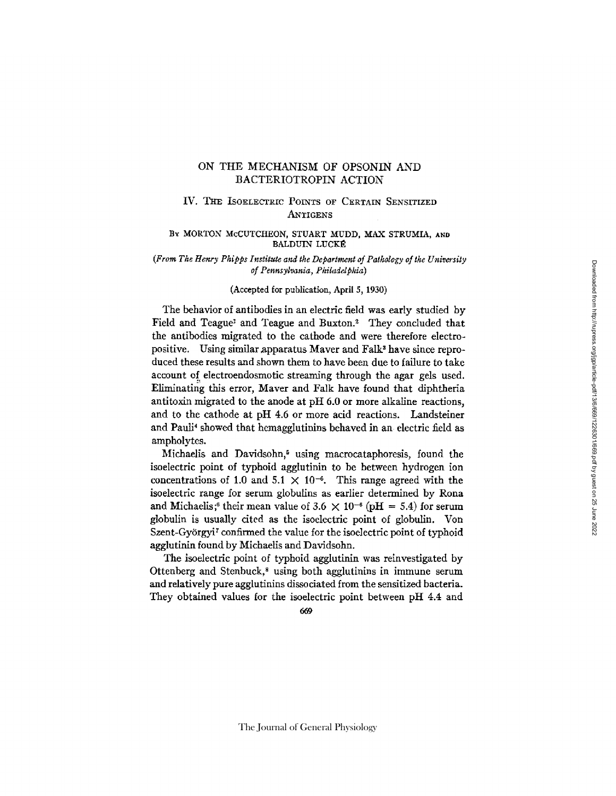## ON THE MECHANISM OF OPSONIN AND BACTERIOTROPIN ACTION

# IV. THE ISOELECTRIC POINTS OF CERTAIN SENSITIZED **ANTIGENS**

## BY MORTON McCUTCHEON, STUART MUDD, MAX STRUMIA, AND BALDUIN LUCKÉ

*(From The Henry Phipps Institute and the Department of Pathology of the University of Pennsylvania, Philadelphia)* 

### (Accepted for publication, April 5, 1930)

The behavior of antibodies in an electric field was early studied by Field and Teague<sup>1</sup> and Teague and Buxton.<sup>3</sup> They concluded that the antibodies migrated to the cathode and were therefore electropositive. Using similar apparatus Maver and Falk<sup>3</sup> have since reproduced these results and shown them to have been due to failure to take account of electroendosmotic streaming through the agar gels used. Eliminating this error, Maver and Falk have found that diphtheria antitoxin migrated to the anode at pH 6.0 or more alkaline reactions, and to the cathode at pH 4.6 or more acid reactions. Landsteiner and Panli\* showed that hemagglutinins behaved in an electric field as ampholytes.

Michaelis and Davidsohn,<sup>5</sup> using macrocataphoresis, found the isoelectric point of typhoid agglutinin to be between hydrogen ion concentrations of 1.0 and 5.1  $\times$  10<sup>-6</sup>. This range agreed with the isoelectric range for serum globulins as earlier determined by Rona and Michaelis;<sup>6</sup> their mean value of 3.6  $\times$  10<sup>-6</sup> (pH = 5.4) for serum globulin is usually cited as the isoelectric point of globulin. Von Szent-Györgyi<sup>7</sup> confirmed the value for the isoelectric point of typhoid agglutinin found by Michaelis and Davidsohn.

The isoelectric point of typhoid agglutinin was reinvestigated by Ottenberg and Stenbuck, $\alpha$  using both agglutinins in immune serum and relatively pure agglutinins dissociated from the sensitized bacteria. They obtained values for the isoelectric point between pH 4.4 and

669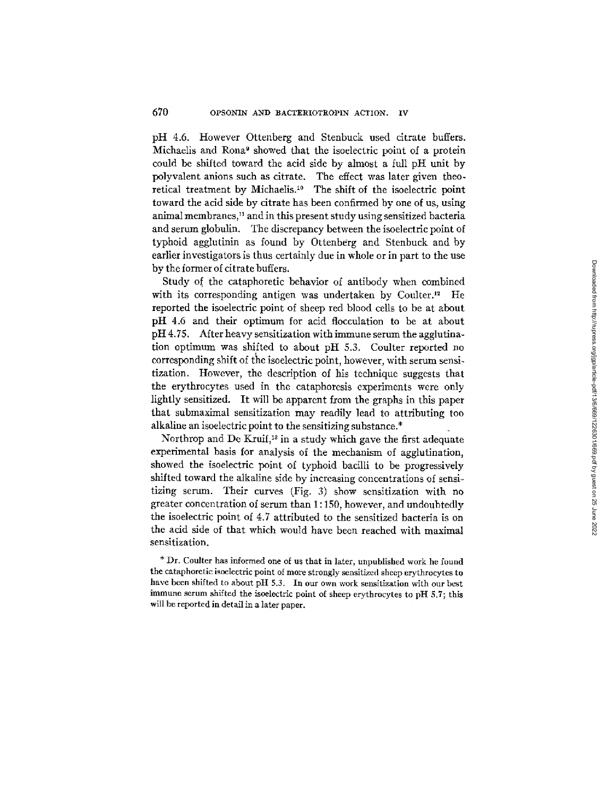pH 4.6. However Ottenberg and Stenbuck used citrate buffers. Michaelis and Rona<sup>9</sup> showed that the isoelectric point of a protein could be shifted toward the acid side by almost a full pH unit by polyvalent anions such as citrate. The effect was later given theoretical treatment by Michaelis.<sup>10</sup> The shift of the isoelectric point toward the acid side by citrate has been confirmed by one of us, using animal membranes,<sup>11</sup> and in this present study using sensitized bacteria and serum globulin. The discrepancy between the isoelectric point of typhoid agglutinin as found by Ottenberg and Stenbuck and by earlier investigators is thus certainly due in whole or in part to the use by the former of citrate buffers.

Study of the cataphoretic behavior of antibody when combined with its corresponding antigen was undertaken by Coulter. $P^2$  He reported the isoelectric point of sheep red blood cells to be at about pH 4.6 and their optimum for acid flocculation to be at about pH 4.75. After heavy sensitization with immune serum the agglutination optimum was shifted to about pH 5.3. Coulter reported no corresponding shift of the isoelectric point, however, with serum sensitization. However, the description of his technique suggests that the erythrocytes used in the cataphoresis experiments were only lightly sensitized. It will be apparent from the graphs in this paper that submaximal sensitization may readily lead to attributing too alkaline an isoelectric point to the sensitizing substance.\*

Northrop and De Kruif, $^{13}$  in a study which gave the first adequate experimental basis for analysis of the mechanism of agglutination, showed the isoelectric point of typhoid bacilli to be progressively shifted toward the alkaline side by increasing concentrations of sensitizing serum. Their curves (Fig. 3) show sensitization with no greater concentration of serum than 1 : 150, however, and undoubtedly the isoelectric point of 4.7 attributed to the sensitized bacteria is on the acid side of that which would have been reached with maximal sensitization.

\* Dr. Coulter has informed one of us that in later, unpublished work he found the cataphoretic isoelectric point of more strongly sensitized sheep erythrocytes to have been shifted to about pH 5.3. In our own work sensitization with our best immune serum shifted the isoelectric point of sheep erythrocytes to pH 5.7; this will be reported in detail in a later paper.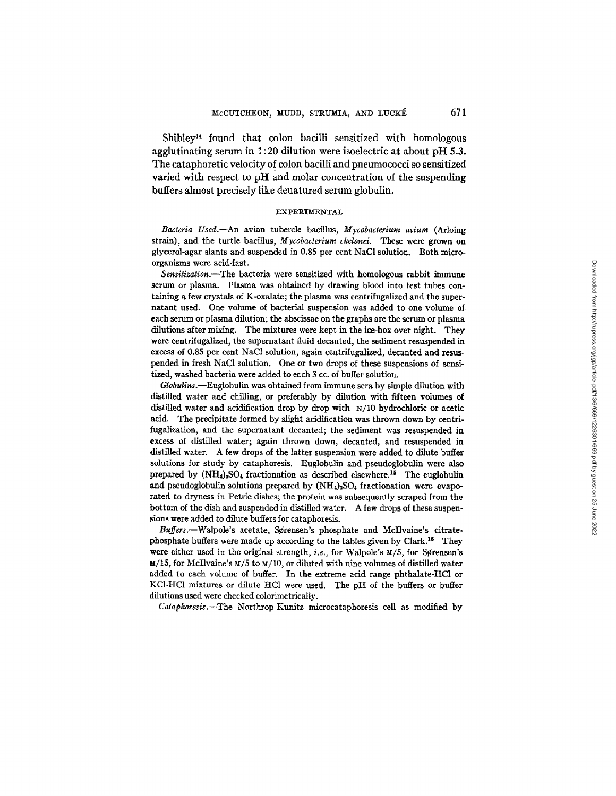$ShibleV<sup>14</sup>$  found that colon bacilli sensitized with homologous agglutinating serum in 1:20 dilution were isoelectric at about  $\sigma$ H 5.3. The cataphoretic velocity of colon bacilli and pneumococci so sensitized varied with respect to pH and molar concentration of the suspending buffers almost precisely like denatured serum globulin.

#### EXPERIMENTAL

*Bacteria Used.--An* avian tubercle bacillus, *Mycobacterium avium* (Arloing strain), and the turtle bacillus, *Mycobacterium chelonei.* These were grown on glycerol-agar slants and suspended in 0.85 per cent NaCI solution. Both microorganisms were acid-fast.

*Sensitization.--The* bacteria were sensitized with homologous rabbit immune serum or plasma. Plasma was obtained by drawing blood into test tubes containing a few crystals of K-oxalate; the plasma was centrifugalized and the supernatant used. One volume of bacterial suspension was added to one volume of each serum or plasma dilution; the abscissae on the graphs are the serum or plasma dilutions after mixing. The mixtures were kept in the ice-box over night. They were eentrifugalized, the supernatant fluid decanted, the sediment resuspended in excess of 0.85 per cent NaC1 solution, again centrifugalized, decanted and resuspended in fresh NaC1 solution. One or two drops of these suspensions of sensitized, washed bacteria were added to each 3 cc. of buffer solution.

*Globulins.--Euglobulin* was obtained from immune sera by simple dilution with distilled water and chilling, or preferably by dilution with fifteen volumes of distilled water and acidification drop by drop with N/10 hydrochloric or acetic acid. The precipitate formed by slight acidification was thrown down by centrifugalization, and the supernatant decanted; the sediment was resuspended in excess of distilled water; again thrown down, decanted, and resuspended in distilled water. A few drops of the latter suspension were added to dilute buffer solutions for study by cataphoresis. Euglobulin and pseudoglobulin were also prepared by  $(NH_4)_2SO_4$  fractionation as described elsewhere.<sup>15</sup> The euglobulin and pseudoglobulin solutions prepared by  $(NH_4)_2SO_4$  fractionation were evaporated to dryness in Petrie dishes; the protein was subsequently scraped from the bottom of the dish and suspended in distilled water. A few drops of these suspensions were added to dilute buffers for cataphoresis.

Buffers.--Walpole's acetate, Sørensen's phosphate and McIlvaine's citratephosphate buffers were made up according to the tables given by Clark.<sup>16</sup> They were either used in the original strength, *i.e.*, for Walpole's  $M/5$ , for Sørensen's  $M/15$ , for McIlvaine's  $M/5$  to  $M/10$ , or diluted with nine volumes of distilled water added to each volume of buffer. In the extreme acid range phthalate-HCl or KCl-HCl mixtures or dilute HCl were used. The pH of the buffers or buffer dilutions used were checked colorimetrically.

*Cataphoresis.--The* Northrop-Kunitz microcataphoresis cell as modified by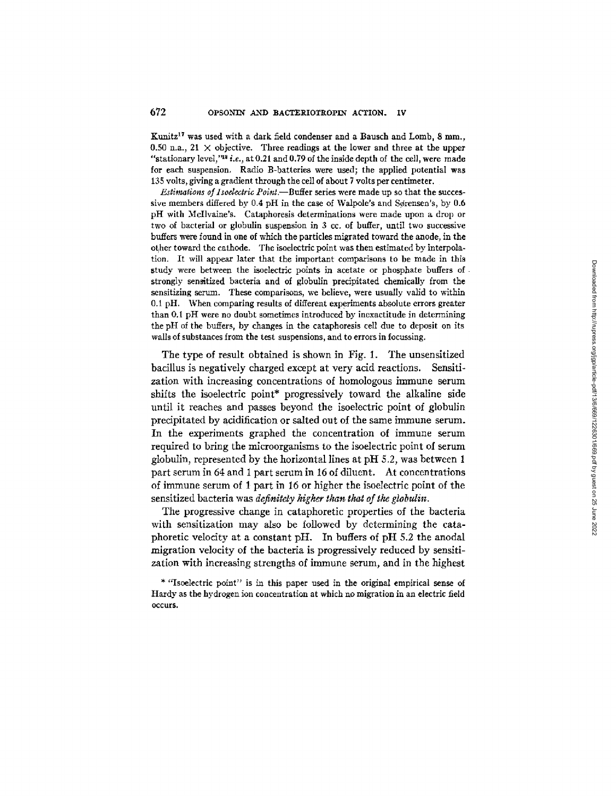Kunitz<sup>17</sup> was used with a dark field condenser and a Bausch and Lomb, 8 mm., 0.50 n.a., 21  $\times$  objective. Three readings at the lower and three at the upper "stationary level," $a$ <sup>2</sup> i.e., at 0.21 and 0.79 of the inside depth of the cell, were made for each suspension. Radio B-batteries were used; the applied potential was 135 volts, giving a gradient through the cell of about 7 volts per centimeter.

*Estimations of Isoelectric Point.--Buffer* series were made up so that the successive members differed by  $0.4$  pH in the case of Walpole's and Sørensen's, by  $0.6$ pH with McIlvaine's. Cataphoresis determinations were made upon a drop or two of bacterial or globulin suspension in 3 cc. of buffer, until two successive buffers were found in one of which the particles migrated toward the anode, in the other toward the cathode. The isoelectric point was then estimated by interpolation. It will appear later that the important comparisons to be made in this study were between the isoelectric points in acetate or phosphate buffers of strongly sensitized bacteria and of globulin precipitated chemically from the sensitizing serum. These comparisons, we believe, were usually valid to within 0.1 pH. When comparing results of different experiments absolute errors greater than 0.1 pH were no doubt sometimes introduced by inexactitude in determining the pH of the buffers, by changes in the cataphoresis cell due to deposit on its walls of substances from the test suspensions, and to errors in focussing.

The type of result obtained is shown in Fig. 1. The unsensitized bacillus is negatively charged except at very acid reactions. Sensitization with increasing concentrations of homologous immune serum shifts the isoelectric point\* progressively toward the alkaline side until it reaches and passes beyond the isoelectric point of globulin precipitated by acidification or salted out of the same immune serum. In the experiments graphed the concentration of immune serum required to bring the microorganisms to the isoelectric point of serum globulin, represented by the horizontal lines at pH 5.2, was between 1 part serum in 64 and i part serum in 16 of diluent. At concentrations of immune serum of 1 part in 16 or higher the isoelectric point of the sensitized bacteria was *definitely higher than that of the globulin*.

The progressive change in cataphoretic properties of the bacteria with sensitization may also be followed by determining the cataphoretic velocity at a constant pH. In buffers of pH 5.2 the anodal migration velocity of the bacteria is progressively reduced by sensitization with increasing strengths of immune serum, and in the highest

<sup>\* &</sup>quot;Isoelectric point" is in this paper used in the original empirical sense of Hardy as the hydrogen ion concentration at which no migration in an electric field occurs.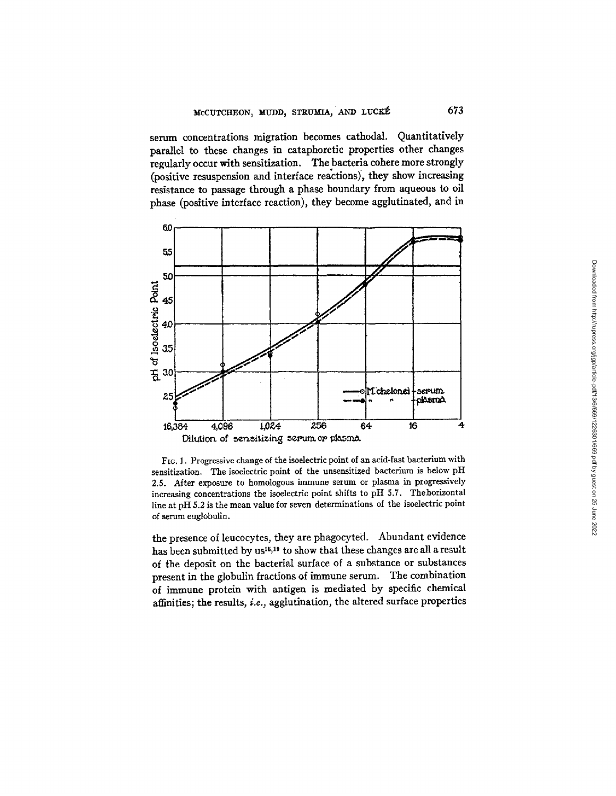serum concentrations migration becomes cathodal. Quantitatively parallel to these changes in cataphoretic properties other changes regularly occur with sensitization. The bacteria cohere more strongly (positive resuspension and interface reactions), they show increasing resistance to passage through a phase boundary from aqueous to oil phase (positive interface reaction), they become agglutinated, and in



FIG. 1. Progressive change of the isoelectric point of an acid-fast bacterium with sensitization. The isoelectric point of the unsensitized bacterium is below pH 2.5. After exposure to homologous immune serum or plasma in progressively increasing concentrations the isoelectric point shifts to pH 5.7. Thehorizontal line at pH 5.2 is the mean value for seven determinations of the isoelectric point of serum euglobulin.

the presence of leucocytes, they are phagocyted. Abundant evidence has been submitted by us<sup>15,19</sup> to show that these changes are all a result of the deposit on the bacterial surface of a substance or substances present in the globulin fractions of immune serum. The combination of immune protein with antigen is mediated by specific chemical affinities; the results, *i.e.,* agglutination, the altered surface properties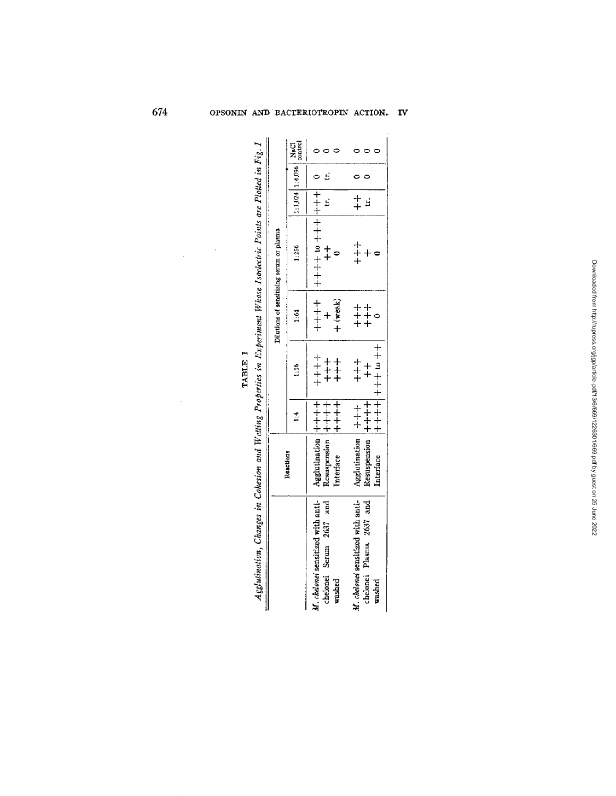| Agglutination, Changes in Cohesion and Wetting Properties in Experiment Whose Isoelectric Points are Plotted in Fig. I |                                                                                      |                |                                                               |          |                                          |                                          |  |
|------------------------------------------------------------------------------------------------------------------------|--------------------------------------------------------------------------------------|----------------|---------------------------------------------------------------|----------|------------------------------------------|------------------------------------------|--|
|                                                                                                                        |                                                                                      |                |                                                               |          | Dilutions of sensitizing serum or plasma |                                          |  |
|                                                                                                                        | Reactions                                                                            | $\frac{4}{11}$ | $\frac{1}{2}$                                                 | 1:64     | 1:256                                    | $\left  1:1.024 \right  1:4.096$ control |  |
| M. chelonei sensitized with anti-<br>chelonei Serum 2637 and<br>washed                                                 | Agglutination $ ++++ $<br>Resuspension $ +++++ $<br>Interface $ +++++ $<br>Interface |                | $+$<br>$+$<br>$+$                                             | + (weak) | ○ │ 十十十│ 十十十 □ 十十十十│ 十十十十<br>$rac{+}{+}$ | <br>בי                                   |  |
| M. chelonei sensitized with anti-<br>chelonei Plasma 2637 and<br>washed                                                | Agglutination $ ++ $<br>Resuspension $ +++$<br>Interface                             |                | $+ +$ $+ +$ + $+ +$ + $+ +$ + $+$<br>$+$<br>$+$<br>$\ddagger$ |          | $\begin{array}{c} + \\ + \end{array}$    | $\frac{+}{+}$                            |  |

 $\ddot{\phantom{a}}$ 

TABLE I

 $\ddot{\phantom{a}}$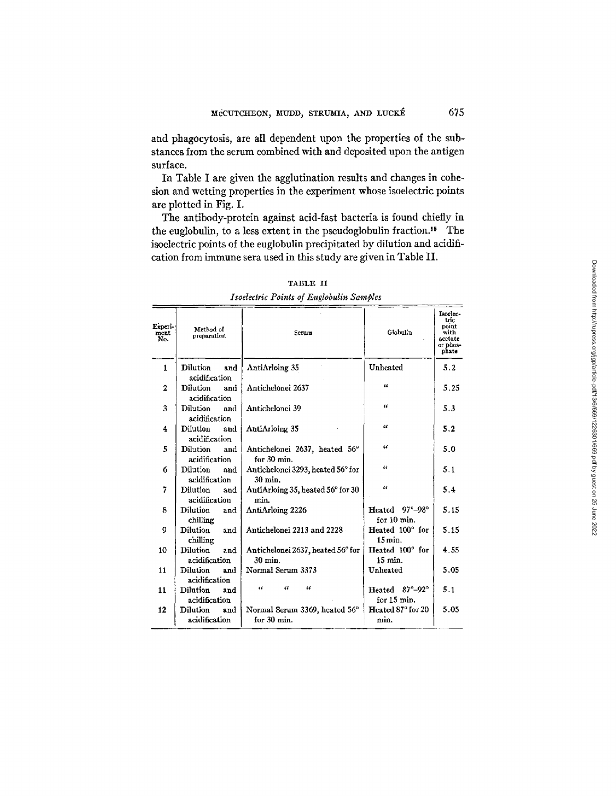and phagocytosis, are all dependent upon the properties of the substances from the serum combined with and deposited upon the antigen surface.

In Table I are given the agglutination results and changes in cohesion and wetting properties in the experiment whose isoelectric points are plotted in Fig. I.

The antibody-protein against acid-fast bacteria is found chiefly in the euglobulin, to a less extent in the pseudoglobulin fraction.<sup>15</sup> The isoelectric points of the euglobulin precipitated by dilution and acidification from immune sera used in this study are given in Table II.

| Experi-<br>ment<br>No. | Method of<br>preparation | Serum                             | Globulin                            | Isoelec-<br>tric.<br>point<br>with<br>acetate<br>or phos-<br>phate |
|------------------------|--------------------------|-----------------------------------|-------------------------------------|--------------------------------------------------------------------|
| $\mathbf{1}$           | Dilution<br>and          | AntiArloing 35                    | Unheated                            | 5.2                                                                |
|                        | acidification            |                                   | 14                                  |                                                                    |
| $\mathbf{2}$           | <b>Dilution</b><br>and   | Antichelonei 2637                 |                                     | 5.25                                                               |
|                        | acidification            |                                   | 44                                  |                                                                    |
| 3                      | Dilution<br>and          | Antichelonei 39                   |                                     | 5.3                                                                |
|                        | acidification            |                                   |                                     |                                                                    |
| 4                      | <b>Dilution</b><br>and   | AntiArloing 35                    | u                                   | 5.2                                                                |
|                        | acidification            |                                   |                                     |                                                                    |
| 5                      | Dilution<br>and          | Antichelonei 2637, heated 56°     | u                                   | 5.0                                                                |
|                        | acidification            | for 30 min.                       |                                     |                                                                    |
| 6                      | Dilution<br>and          | Antichelonei 3293, heated 56° for | u                                   | 5.1                                                                |
|                        | acidification            | 30 min.                           |                                     |                                                                    |
| 7                      | <b>Dilution</b><br>and   | AntiArloing 35, heated 56° for 30 | $\overline{u}$                      | 5.4                                                                |
|                        | acidification            | min.                              |                                     |                                                                    |
| 8                      | <b>Dilution</b><br>and   | AntiArloing 2226                  | $97^{\circ} - 98^{\circ}$<br>Heated | 5.15                                                               |
|                        | chilling                 |                                   | for 10 min.                         |                                                                    |
| 9                      | <b>Dilution</b><br>and   | Antichelonei 2213 and 2228        | Heated 100° for                     | 5.15                                                               |
|                        | chilling                 |                                   | $15 \,\mathrm{min}$ .               |                                                                    |
| 10                     | <b>Dilution</b><br>and   | Antichelonei 2637, heated 56° for | Heated 100° for                     | 4.55                                                               |
|                        | acidification            | $30$ min.                         | 15 min.                             |                                                                    |
| 11                     | <b>Dilution</b><br>and   | Normal Serum 3373                 | Unheated                            | 5.05                                                               |
|                        | acidification            |                                   |                                     |                                                                    |
| 11                     | <b>Dilution</b><br>and   | a<br>$\alpha$<br>u                | Heated 87°-92°                      | 5.1                                                                |
|                        | acidification            |                                   | for 15 min.                         |                                                                    |
| 12                     | <b>Dilution</b><br>and   | Normal Serum 3369, heated 56°     | Heated 87° for 20                   | 5.05                                                               |
|                        | acidification            | for 30 min.                       | min.                                |                                                                    |
|                        |                          |                                   |                                     |                                                                    |

**TABLE II**  *Isoelectric Points of Euglobulin Samples*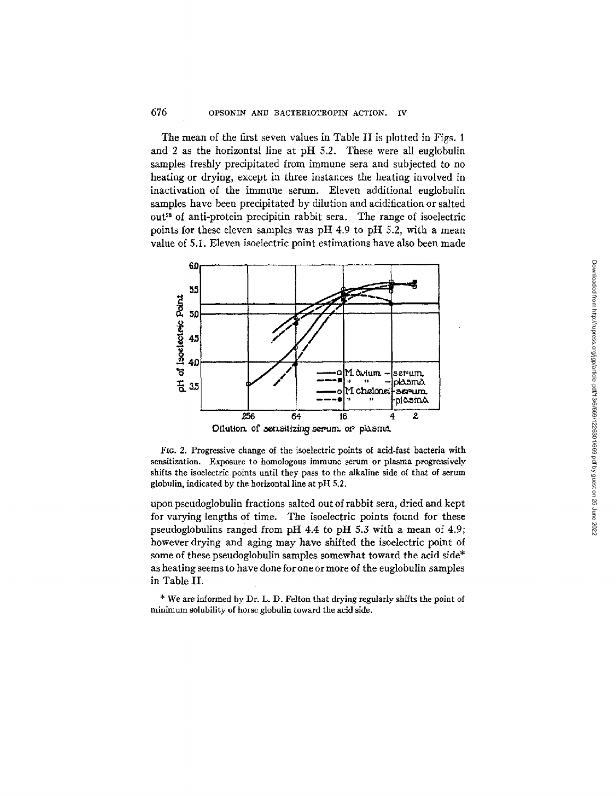The mean of the first seven values in Table II is plotted in Figs. 1 and 2 as the horizontal line at pH 5.2. These were all euglobulin samples freshly precipitated from immune sera and subjected to no heating or drying, except in three instances the heating involved in inactivation of the immune serum. Eleven additional euglobulin samples have been precipitated by dilution and acidification or salted  $out<sup>25</sup>$  of anti-protein precipitin rabbit sera. The range of isoelectric points for these eleven samples was pH 4.9 to pH 5.2, with a mean value of 5.1. Eleven isoelectric point estimations have also been made



Fro. 2. Progressive change of the isoelectric points of acid-fast bacteria with sensitization. Exposure to homologous immune serum or plasma progressively shifts the isoelectric points until they pass to the alkaline side of that of serum globulin, indicated by the horizontal line at pH 5.2.

upon pseudoglobulin fractions salted out of rabbit sera, dried and kept for varying lengths of time. The isoelectric points found for these pseudoglobulins ranged from pH 4.4 to pH 5.3 with a mean of 4.9; however drying and aging may have shifted the isoelectric point of some of these pseudoglobulin samples somewhat toward the acid side\* as heating seems to have done for one or more of the euglobulin samples in Table II.

\* We are informed by Dr. L. D. Felton that drying regularly shifts the point of minimum solubility of horse globulin toward the acid side.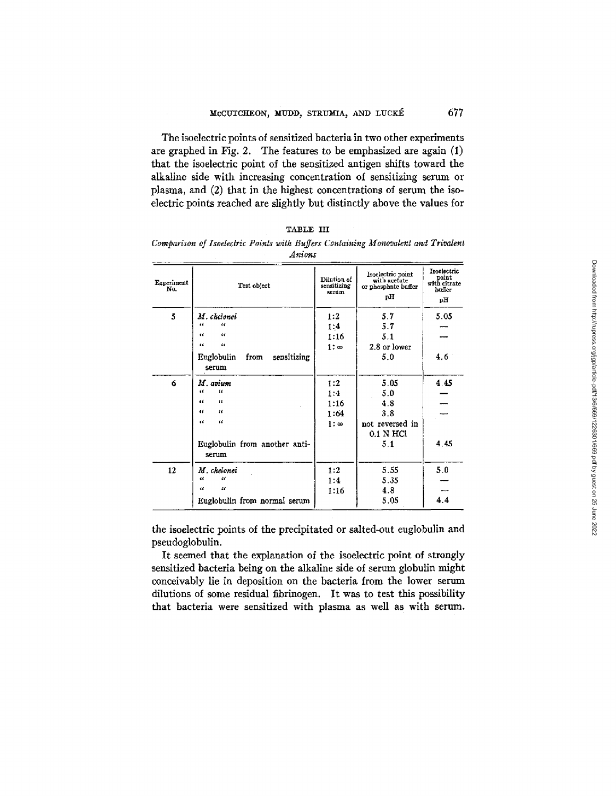The isoelectric points of sensitized bacteria in two other experiments are graphed in Fig. 2. The features to be emphasized are again (1) that the isoelectric point of the sensitized antigen shifts toward the alkaline side with increasing concentration of sensitizing serum or plasma, and (2) that in the highest concentrations of serum the isoelectric points reached are slightly but distinctly above the values for

| TABLE III |                                                                                   |  |                |  |  |  |  |
|-----------|-----------------------------------------------------------------------------------|--|----------------|--|--|--|--|
|           | Comparison of Isoelectric Points with Buffers Containing Monovalent and Trivalent |  |                |  |  |  |  |
|           |                                                                                   |  | $4.11$ and $-$ |  |  |  |  |

|                   | Anwro                                             |                                     |                                                                |                                                      |
|-------------------|---------------------------------------------------|-------------------------------------|----------------------------------------------------------------|------------------------------------------------------|
| Experiment<br>No. | Test object                                       | Dilution of<br>sensitizing<br>serum | Isoelectric point<br>with acetate<br>or phosphate buffer<br>рH | Isoelectric<br>point<br>with citrate<br>buffer<br>pН |
| 5                 | M. chelonei<br>44<br>"                            | 1:2<br>1:4                          | 5.7<br>5.7                                                     | 5.05                                                 |
|                   | W<br>$\epsilon$                                   | 1:16                                | 5.1                                                            |                                                      |
|                   | 44<br>$\epsilon$                                  | $1:$ $\infty$                       | 2.8 or lower                                                   |                                                      |
|                   | <b>Euglobulin</b><br>sensitizing<br>from<br>serum |                                     | 5.0                                                            | 4.6                                                  |
| 6                 | M. avium                                          | 1:2                                 | 5.05                                                           | 4.45                                                 |
|                   | 66<br>π                                           | 1:4                                 | 5.0                                                            |                                                      |
|                   | 66<br>66                                          | 1:16                                | 4.8                                                            |                                                      |
|                   | 44<br>$\alpha$                                    | 1:64                                | 3.8                                                            |                                                      |
|                   | $\epsilon$<br>œ                                   | $1: \infty$                         | not reversed in<br>$0.1$ N HCl                                 |                                                      |
|                   | Euglobulin from another anti-<br>serum            |                                     | 5.1                                                            | 4.45                                                 |
| $12^{\circ}$      | M. chelonei                                       | 1:2                                 | 5.55                                                           | 5.0                                                  |
|                   | $\epsilon$<br>$\iota$                             | 1:4                                 | 5.35                                                           |                                                      |
|                   | $\boldsymbol{\mathcal{U}}$<br>$\mathcal{U}$       | 1:16                                | 4.8                                                            |                                                      |
|                   | Euglobulin from normal serum                      |                                     | 5.05                                                           | 4.4                                                  |

the isoelectric points of the precipitated or salted-out euglobulin and pseudoglobulin.

It seemed that the explanation of the isoelectric point of strongly sensitized bacteria being on the alkaline side of serum globulin might conceivably lie in deposition on the bacteria from the lower serum dilutions of some residual fibrinogen. It was to test this possibility that bacteria were sensitized with plasma as well as with serum.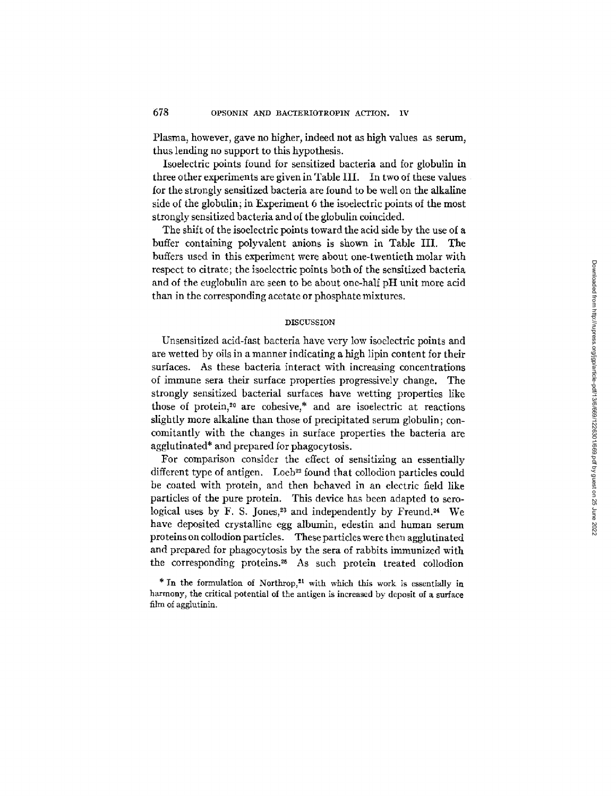Plasma, however, gave no higher, indeed not as high values as serum, thus lending no support to this hypothesis.

Isoelectric points found for sensitized bacteria and for globulin in three other experiments are given in Table III. In two of these values for the strongly sensitized bacteria are found to be well on the alkaline side of the globulin; in Experiment 6 the isoelectric points of the most strongly sensitized bacteria and of the globulin coincided.

The shift of the isoelectric points toward the acid side by the use of a buffer containing polyvalent anions is shown in Table III. The buffers used in this experiment were about one-twentieth molar with respect to citrate; the isoelectric points both of the sensitized bacteria and of the euglobulin are seen to be about one-half pH unit more acid than in the corresponding acetate or phosphate mixtures.

## DISCUSSION

Unsensitized acid-fast bacteria have very low isoelectric points and are wetted by oils in a manner indicating a high lipin content for their surfaces. As these bacteria interact with increasing concentrations of immune sera their surface properties progressively change. The strongly sensitized bacterial surfaces have wetting properties like those of protein,<sup>20</sup> are cohesive, $*$  and are isoelectric at reactions slightly more alkaline than those of precipitated serum globulin; concomitantly with the changes in surface properties the bacteria are agglutinated\* and prepared for phagocytosis.

For comparison consider the effect of sensitizing an essentially different type of antigen. Loeb<sup>22</sup> found that collodion particles could be coated with protein, and then behaved in an electric field like particles of the pure protein. This device has been adapted to serological uses by F. S. Jones,<sup>23</sup> and independently by Freund.<sup>24</sup> We have deposited crystalline egg albumin, edestin and human serum proteins on collodion particles. These particles were then agglutinated and prepared for phagocytosis by the sera of rabbits immunized with the corresponding proteins.<sup>25</sup> As such protein treated collodion

<sup>\*</sup> In the formulation of Northrop,<sup>21</sup> with which this work is essentially in harmony, the critical potential of the antigen is increased by deposit of a surface film of agglutinin.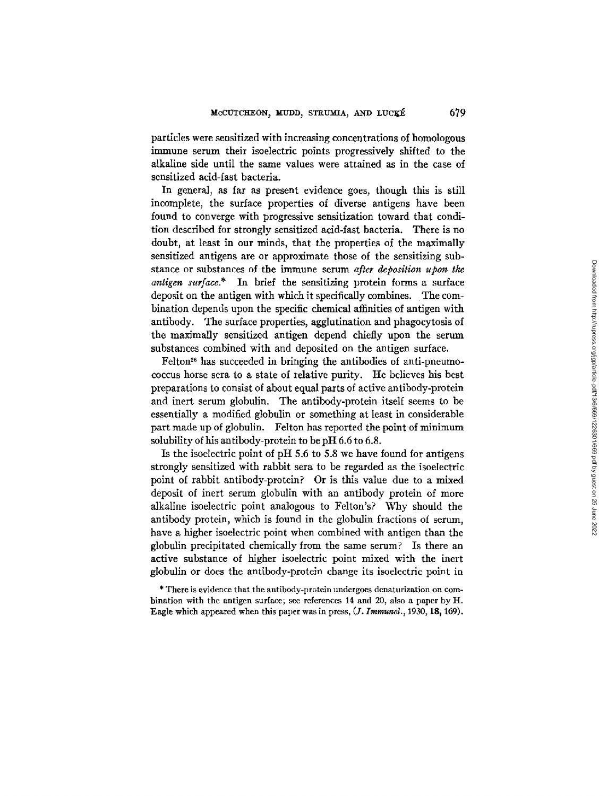particles were sensitized with increasing concentrations of homologous immune serum their isoelectric points progressively shifted to the alkaline side until the same values were attained as in the case of sensitized acid-fast bacteria.

In general, as far as present evidence goes, though this is still incomplete, the surface properties of diverse antigens have been found to converge with progressive sensitization toward that condition described for strongly sensitized acid-fast bacteria. There is no doubt, at least in our minds, that the properties of the maximally sensitized antigens are or approximate those of the sensitizing substance or substances of the immune serum *after deposition upon the antigen surface.\** In brief the sensitizing protein forms a surface deposit on the antigen with which it specifically combines. The combination depends upon the specific chemical affinities of antigen with antibody. The surface properties, agglutination and phagocytosis of the maximally sensitized antigen depend chiefly upon the serum substances combined with and deposited on the antigen surface.

Felton<sup>26</sup> has succeeded in bringing the antibodies of anti-pneumococcus horse sera to a state of relative purity. He believes his best preparations to consist of about equal parts of active antibody-protein and inert serum globulin. The antibody-protein itself seems to be essentially a modified globulin or something at least in considerable part made up of globulin. Felton has reported the point of minimum solubility of his antibody-protein to be pH 6.6 to 6.8.

Is the isoelectric point of pH 5.6 to 5.8 we have found for antigens strongly sensitized with rabbit sera to be regarded as the isoelectric point of rabbit antibody-protein? Or is this value due to a mixed deposit of inert serum globulin with an antibody protein of more alkaline isoelectric point analogous to Felton's? Why should the antibody protein, which is found in the globulin fractions of serum, have a higher isoelectric point when combined with antigen than the globulin precipitated chemically from the same serum? Is there an active substance of higher isoelectric point mixed with the inert globulin or does the antibody-protein change its isoelectric point in

\* There is evidence that the antibody-protein undergoes denaturization on combination with the antigen surface; see references 14 and 20, also a paper by H. Eagle which appeared when this paper was in press, *(J. Immunol.,* 1930, 18, 169).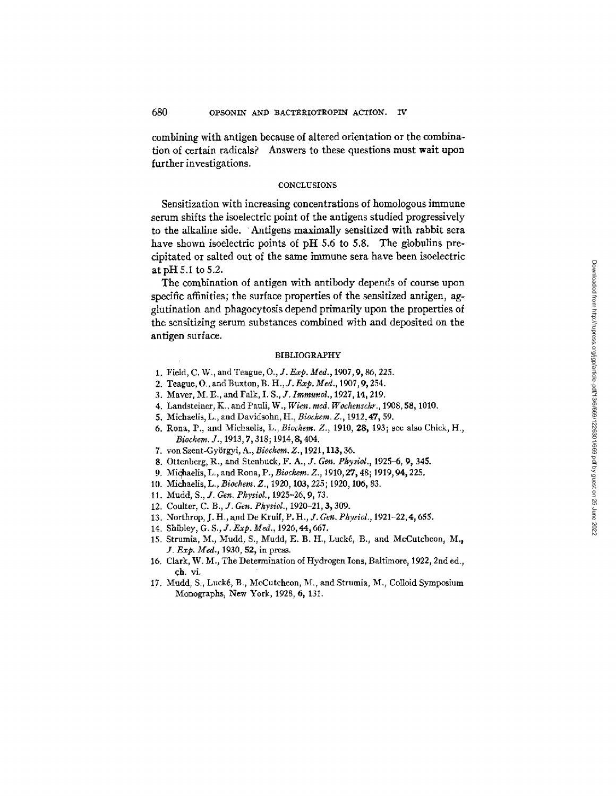combining with antigen because of altered orientation or the combination of certain radicals? Answers to these questions must wait upon further investigations.

#### **CONCLUSIONS**

Sensitization with increasing concentrations of homologous immune serum shifts the isoelectric point of the antigens studied progressively to the alkaline side. Antigens maximally sensitized with rabbit sera have shown isoelectric points of pH 5.6 to 5.8. The globulins precipitated or salted out of the same immune sera have been isoelectric at pH 5.1 to 5.2.

The combination of antigen with antibody depends of course upon specific affinities; the surface properties of the sensitized antigen, agglutination and phagocytosis depend primarily upon the properties of the sensitizing serum substances combined with and deposited on the antigen surface.

#### BIBLIOGRAPHY

- 1. Field, C. W., and Teague, O., *J. Exp. Med.,* 1907, 9, 86,225.
- 2. Teague, O., and Buxton, *B. H., J. Exp. Med.,* 1907,9, 254.
- 3. Maver, M. E., and Falk, *I. S., J. Immunol.,* 1927, 14, 219.
- 4. Landsteiner, K., and Pauli, W., *Wien. reed. Wochenschr.,* 1908, 58, 1010.
- 5. Michaelis, L., and Davidsohn, H., *Biochem. Z.,* 1912, 47, 59.
- 6. Rona, P., and Michaelis, L., *Biochem. Z.,* 1910, 28, 193; see also Chick, H., *Biochem. J.*, 1913, 7, 318; 1914, 8, 404.
- 7. von Szent-Gy6rgyi, A., *Biochem. Z.,* 1921, 113~ 36.
- 8. Ottenberg, R., and Stenbuck, *F. A., J. Gen. Pkysiol.,* 1925-6, 9, 345.
- 9. Michaelis, L., and Rona, P., *Biochem. Z.*, 1910, 27, 48; 1919, 94, 225.
- 10. Michaelis, L., *Biochem. Z.,* 1920, 103, 225; 1920, 106, 83.
- 11. Mudd, *S., J. Gen. Physiol.,* 1925-26, 9, 73.
- 12. Coulter, *C. B., J. Gen. Physiol.,* 1920-21, 3, 309.
- 13. Northrop, J. H., and De Kruif, P. H., J. Gen. Physiol., 1921-22, 4, 655.
- 14. Shibley, *G. S., J. Exp. Med.,* 1926, 44, 667.
- 15. Strumia, M., Mudd, S., Mudd, E. B. H., Lucké, B., and McCutcheon, M., *J. Exp. Med.,* 1930, 52, in press.
- 16. Clark, W. M., The Determination of Hydrogen Ions, Baltimore, 1922, 2nd ed., ch. vi.
- 17. Mudd, S., Lucké, B., McCutcheon, M., and Strumia, M., Colloid Symposium Monographs, New York, 1928, 6, 131.